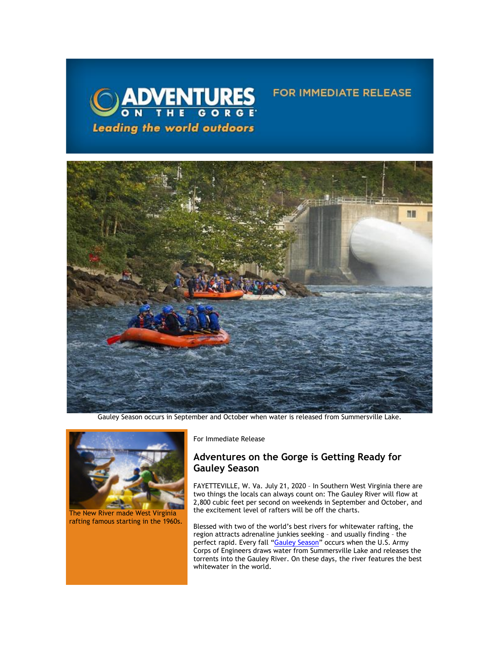

## **FOR IMMEDIATE RELEASE**



Gauley Season occurs in September and October when water is released from Summersville Lake.



The New River made West Virginia rafting famous starting in the 1960s.

For Immediate Release

## **Adventures on the Gorge is Getting Ready for Gauley Season**

FAYETTEVILLE, W. Va. July 21, 2020 – In Southern West Virginia there are two things the locals can always count on: The Gauley River will flow at 2,800 cubic feet per second on weekends in September and October, and the excitement level of rafters will be off the charts.

Blessed with two of the world's best rivers for whitewater rafting, the region attracts adrenaline junkies seeking – and usually finding – the perfect rapid. Every fall "<u>[Gauley Season](https://click.icptrack.com/icp/relay.php?r=13440961&msgid=457778&act=3SPQ&c=1378153&destination=https%3A%2F%2Fadventuresonthegorge.com%2Funcategorized%2Fgauley-release-dates-calendar%2F&cf=13608&v=ff31ba0554bf660a6e261e1ee472269c2e1012eb54897798e01484b5de8bce5d)</u>" occurs when the U.S. Army Corps of Engineers draws water from Summersville Lake and releases the torrents into the Gauley River. On these days, the river features the best whitewater in the world.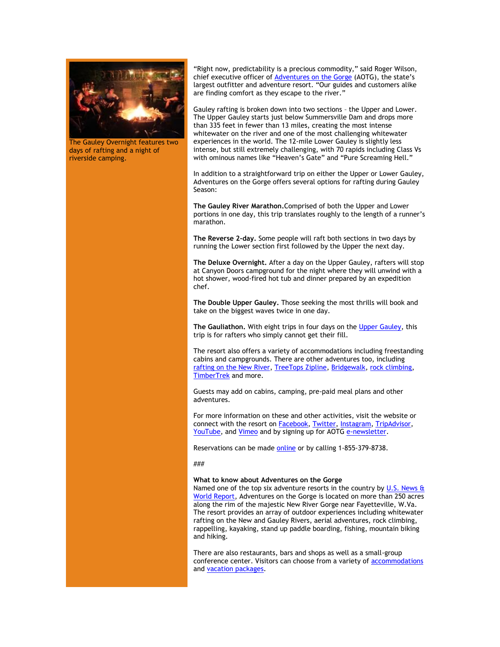

The Gauley Overnight features two days of rafting and a night of riverside camping.

"Right now, predictability is a precious commodity," said Roger Wilson, chief executive officer of **Adventures on the Gorge** (AOTG), the state's largest outfitter and adventure resort. "Our guides and customers alike are finding comfort as they escape to the river."

Gauley rafting is broken down into two sections – the Upper and Lower. The Upper Gauley starts just below Summersville Dam and drops more than 335 feet in fewer than 13 miles, creating the most intense whitewater on the river and one of the most challenging whitewater experiences in the world. The 12-mile Lower Gauley is slightly less intense, but still extremely challenging, with 70 rapids including Class Vs with ominous names like "Heaven's Gate" and "Pure Screaming Hell."

In addition to a straightforward trip on either the Upper or Lower Gauley, Adventures on the Gorge offers several options for rafting during Gauley Season:

**Th[e Gauley River Marathon.](https://click.icptrack.com/icp/relay.php?r=13440961&msgid=457778&act=3SPQ&c=1378153&destination=https%3A%2F%2Fadventuresonthegorge.com%2Fadventures%2Fwhitewater-rafting%2Fgauley-river-marathon%2F&cf=13608&v=4161f57f58d36a1305f79c4320d04c988ef1abb55b43388fd843b9cc88367393)**Comprised of both the Upper and Lower portions in one day, this trip translates roughly to the length of a runner's marathon.

**Th[e Reverse 2-day.](https://click.icptrack.com/icp/relay.php?r=13440961&msgid=457778&act=3SPQ&c=1378153&destination=https%3A%2F%2Fadventuresonthegorge.com%2Fadventures%2Fwhitewater-rafting%2Fgauley-river-reverse-2-day%2F&cf=13608&v=bcfd33e0bf2bd7a692a00fb5040c97f5b517a7ecb292a8bea7df244114360362)** Some people will raft both sections in two days by running the Lower section first followed by the Upper the next day.

**Th[e Deluxe Overnight.](https://click.icptrack.com/icp/relay.php?r=13440961&msgid=457778&act=3SPQ&c=1378153&destination=https%3A%2F%2Fadventuresonthegorge.com%2Fadventures%2Fwhitewater-rafting%2Fgauley-river-overnight%2F&cf=13608&v=1fbaa40e014cd234557867eff727b5d3c758a136876755b2adaf093b5bcc6e2d)** After a day on the Upper Gauley, rafters will stop at Canyon Doors campground for the night where they will unwind with a hot shower, wood-fired hot tub and dinner prepared by an expedition chef.

**Th[e Double Upper Gauley.](https://click.icptrack.com/icp/relay.php?r=13440961&msgid=457778&act=3SPQ&c=1378153&destination=https%3A%2F%2Fadventuresonthegorge.com%2Fadventures%2Fwhitewater-rafting%2Fdouble-upper-gauley-1-day%2F&cf=13608&v=b8990b4e21affba8ff481f608eed170861ac5beb041350d805626a7b2c276bb9)** Those seeking the most thrills will book and take on the biggest waves twice in one day.

**The Gauliathon.** With eight trips in four days on th[e Upper Gauley,](https://click.icptrack.com/icp/relay.php?r=13440961&msgid=457778&act=3SPQ&c=1378153&destination=https%3A%2F%2Fadventuresonthegorge.com%2Fadventures%2Fwhitewater-rafting%2Ffall-upper-gauley-river-white-water-rafting%2F&cf=13608&v=a96e84b95e7fd6dd0203c037a9803473d1772dccab14137c7fdc40bccc5a617b) this trip is for rafters who simply cannot get their fill.

The resort also offers a variety of accommodations including freestanding cabins and campgrounds. There are other adventures too, including [rafting on the New River,](https://click.icptrack.com/icp/relay.php?r=13440961&msgid=457778&act=3SPQ&c=1378153&destination=https%3A%2F%2Fadventuresonthegorge.com%2Frafting-2%2F&cf=13608&v=805f375ed879bb6278312ad5ed62d754ceba838af7a68c81132990a634bb90d2) [TreeTops Zipline,](https://click.icptrack.com/icp/relay.php?r=13440961&msgid=457778&act=3SPQ&c=1378153&destination=https%3A%2F%2Fadventuresonthegorge.com%2Fadventures%2Fzip-line-aerial-adventures%2Ftreetops-zip-line-canopy-tour%2F&cf=13608&v=d91862384dba58aa5469fc610fd0b748936bb315ce270c5a0c87f70bf4ea166c) [Bridgewalk,](https://click.icptrack.com/icp/relay.php?r=13440961&msgid=457778&act=3SPQ&c=1378153&destination=https%3A%2F%2Fadventuresonthegorge.com%2Fadventures%2Fzip-line-aerial-adventures%2Fbridge-walk%2F&cf=13608&v=435dd7ef93b7a5ec1673b04382975af02f4cd97e1ef62cab683c9a525c7ed4a2) [rock climbing,](https://click.icptrack.com/icp/relay.php?r=13440961&msgid=457778&act=3SPQ&c=1378153&destination=https%3A%2F%2Fadventuresonthegorge.com%2Fadventures%2F%3Ftx_category%3Dclimbing-rappelling&cf=13608&v=9140be8380db3adc386b8aeaed544dde08dc74bd06eb6f44ecadd32fba3b081d) [TimberTrek a](https://click.icptrack.com/icp/relay.php?r=13440961&msgid=457778&act=3SPQ&c=1378153&destination=https%3A%2F%2Fadventuresonthegorge.com%2Fadventures%2Fzip-line-aerial-adventures%2Ftimbertrek-adventure-park%2F&cf=13608&v=18ccc891771829c3d4c9e36973df56a6d0d839c635d665a6a43350403fdbaa88)nd more.

Guests may add on cabins, camping, pre-paid meal plans and other adventures.

For more information on these and other activities, visit the website or connect with the resort on **Facebook**, **Twitter**, **Instagram**, **TripAdvisor**, [YouTube,](https://click.icptrack.com/icp/relay.php?r=13440961&msgid=457778&act=3SPQ&c=1378153&destination=https%3A%2F%2Fwww.youtube.com%2Fuser%2FAdventuresOnTheGorge&cf=13608&v=7b71b3e994e129bfdca87c6523149b64faacb62e001d98eb26897d7c7236e8cc) and [Vimeo](https://click.icptrack.com/icp/relay.php?r=13440961&msgid=457778&act=3SPQ&c=1378153&destination=https%3A%2F%2Fvimeo.com%2Fuser4260102&cf=13608&v=4ff82f41c6c552c9da3c61684889fad58e153a690bdb0b74761adab86ca752a0) and by signing up for AOTG [e-newsletter.](https://click.icptrack.com/icp/relay.php?r=13440961&msgid=457778&act=3SPQ&c=1378153&destination=https%3A%2F%2Fadventuresonthegorge.com%2F&cf=13608&v=a83cd0882452dd5ad1794082623f8c176d7586c5f6015a054a1c7b875f219550)

Reservations can be made [online o](https://click.icptrack.com/icp/relay.php?r=13440961&msgid=457778&act=3SPQ&c=1378153&destination=https%3A%2F%2Fadventuresonthegorge.com%2Fadventures%2Fwhitewater-rafting%2Fsummer-gauley-loop-overnight%2F&cf=13608&v=4850d45587df31612fc20496dd2cce90cea3787d6dbc23d49d242d845627523b)r by calling 1-855-379-8738.

###

## **What to know about Adventures on the Gorge**

Named one of the top six adventure resorts in the country by U.S. News & [World Report,](https://click.icptrack.com/icp/relay.php?r=13440961&msgid=457778&act=3SPQ&c=1378153&destination=http%3A%2F%2Ftravel.usnews.com%2Fgallery%2Famericas-6-top-adventure-resorts&cf=13608&v=764bfdbe430f777c5bcc69b025c1a8805ca5cbb157f8c18454c411b272e07901) Adventures on the Gorge is located on more than 250 acres along the rim of the majestic New River Gorge near Fayetteville, W.Va. The resort provides an array of outdoor experiences including whitewater rafting on the New and Gauley Rivers, aerial adventures, rock climbing, rappelling, kayaking, stand up paddle boarding, fishing, mountain biking and hiking.

There are also restaurants, bars and shops as well as a small-group conference center. Visitors can choose from a variety o[f accommodations](https://click.icptrack.com/icp/relay.php?r=13440961&msgid=457778&act=3SPQ&c=1378153&destination=https%3A%2F%2Fadventuresonthegorge.com%2Flodging%2F&cf=13608&v=a0a1ec07ee637c78242d3333295573a8e337130c936224b8e1d32f73fd9e88eb) and [vacation packages.](https://click.icptrack.com/icp/relay.php?r=13440961&msgid=457778&act=3SPQ&c=1378153&destination=https%3A%2F%2Fadventuresonthegorge.com%2Fpackages%2F&cf=13608&v=8751df1b896b42a43c8f638cff3537e1a0bec91ccd87a43021a073a818c593de)